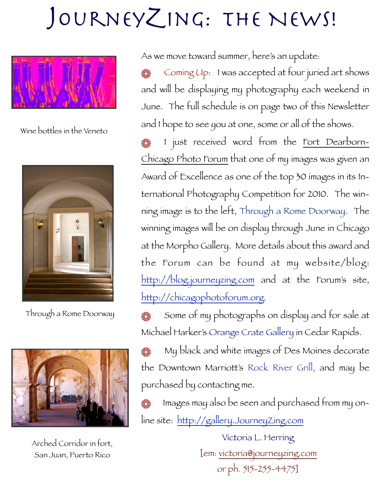## JourneyZing: ThE News!



Wine bottles in the Veneto



Through a Rome Doorway



Arched Corridor in fort, San Juan, Puerto Rico

As we move toward summer, here's an update:

Coming Up: I was accepted at four juried art shows ▒ and will be displaying my photography each weekend in June. The full schedule is on page two of this Newsletter and I hope to see you at one, some or all of the shows.

I just received word from the Fort Dearborn-Chicago Photo Forum that one of my images was given an Award of Excellence as one of the top 30 images in its International Photography Competition for 2010. The winning image is to the left, Through a Rome Doorway. The winning images will be on display through June in Chicago at the Morpho Gallery. More details about this award and the Forum can be found at my website/blog: <http://blog.journeyzing.com> and at the Forum's site, [http://chicagophotoforum.org.](http://chicagophotoforum.org)

Some of my photographs on display and for sale at ▒ Michael Harker's Orange Crate Gallery in Cedar Rapids.

My black and white images of Des Moines decorate the Downtown Marriott's Rock River Grill, and may be purchased by contacting me.

**※ Images may also be seen and purchased from my on**line site: <http://gallery.JourneyZing.com>

> Victoria L. Herring [em: [victoria@journeyzing.com](mailto:victoria@journeyzing.com) or ph. 515-255-4475]